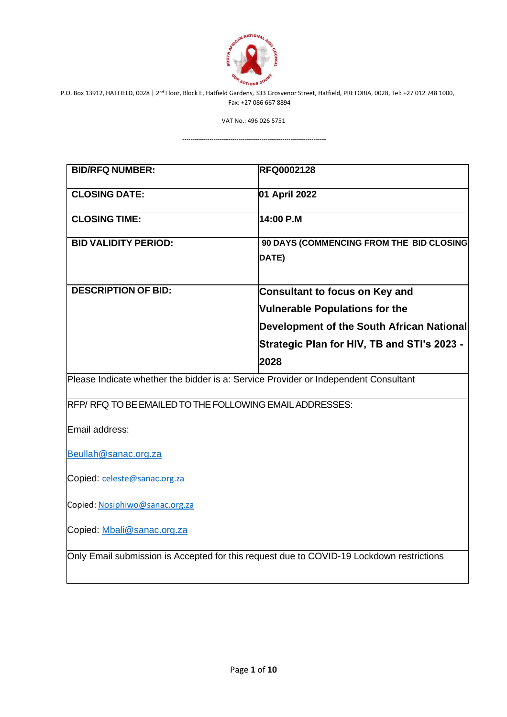

VAT No.: 496 026 5751

| <b>BID/RFQ NUMBER:</b>                                                                   | <b>RFQ0002128</b>                                 |  |  |
|------------------------------------------------------------------------------------------|---------------------------------------------------|--|--|
| <b>CLOSING DATE:</b>                                                                     | 01 April 2022                                     |  |  |
| <b>CLOSING TIME:</b>                                                                     | 14:00 P.M                                         |  |  |
| <b>BID VALIDITY PERIOD:</b>                                                              | 90 DAYS (COMMENCING FROM THE BID CLOSING<br>DATE) |  |  |
| <b>DESCRIPTION OF BID:</b>                                                               | <b>Consultant to focus on Key and</b>             |  |  |
|                                                                                          | <b>Vulnerable Populations for the</b>             |  |  |
|                                                                                          | Development of the South African National         |  |  |
|                                                                                          | Strategic Plan for HIV, TB and STI's 2023 -       |  |  |
|                                                                                          | 2028                                              |  |  |
| Please Indicate whether the bidder is a: Service Provider or Independent Consultant      |                                                   |  |  |
| RFP/RFQ TO BE EMAILED TO THE FOLLOWING EMAIL ADDRESSES:                                  |                                                   |  |  |
| Email address:                                                                           |                                                   |  |  |
| Beullah@sanac.org.za                                                                     |                                                   |  |  |
| Copied: celeste@sanac.org.za                                                             |                                                   |  |  |
| Copied: Nosiphiwo@sanac.org.za                                                           |                                                   |  |  |
| Copied: Mbali@sanac.org.za                                                               |                                                   |  |  |
| Only Email submission is Accepted for this request due to COVID-19 Lockdown restrictions |                                                   |  |  |
|                                                                                          |                                                   |  |  |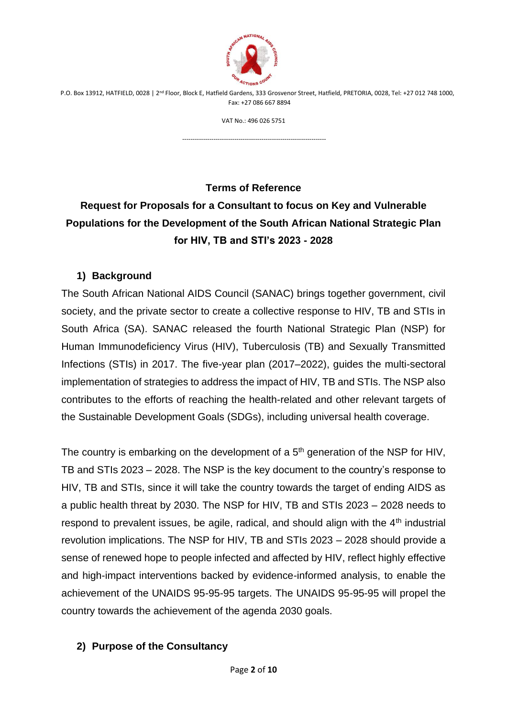

VAT No.: 496 026 5751

---------------------------------------------------------------------

**Terms of Reference Request for Proposals for a Consultant to focus on Key and Vulnerable Populations for the Development of the South African National Strategic Plan for HIV, TB and STI's 2023 - 2028**

#### **1) Background**

The South African National AIDS Council (SANAC) brings together government, civil society, and the private sector to create a collective response to HIV, TB and STIs in South Africa (SA). SANAC released the fourth National Strategic Plan (NSP) for Human Immunodeficiency Virus (HIV), Tuberculosis (TB) and Sexually Transmitted Infections (STIs) in 2017. The five-year plan (2017–2022), guides the multi-sectoral implementation of strategies to address the impact of HIV, TB and STIs. The NSP also contributes to the efforts of reaching the health-related and other relevant targets of the Sustainable Development Goals (SDGs), including universal health coverage.

The country is embarking on the development of a  $5<sup>th</sup>$  generation of the NSP for HIV, TB and STIs 2023 – 2028. The NSP is the key document to the country's response to HIV, TB and STIs, since it will take the country towards the target of ending AIDS as a public health threat by 2030. The NSP for HIV, TB and STIs 2023 – 2028 needs to respond to prevalent issues, be agile, radical, and should align with the 4<sup>th</sup> industrial revolution implications. The NSP for HIV, TB and STIs 2023 – 2028 should provide a sense of renewed hope to people infected and affected by HIV, reflect highly effective and high-impact interventions backed by evidence-informed analysis, to enable the achievement of the UNAIDS 95-95-95 targets. The UNAIDS 95-95-95 will propel the country towards the achievement of the agenda 2030 goals.

## **2) Purpose of the Consultancy**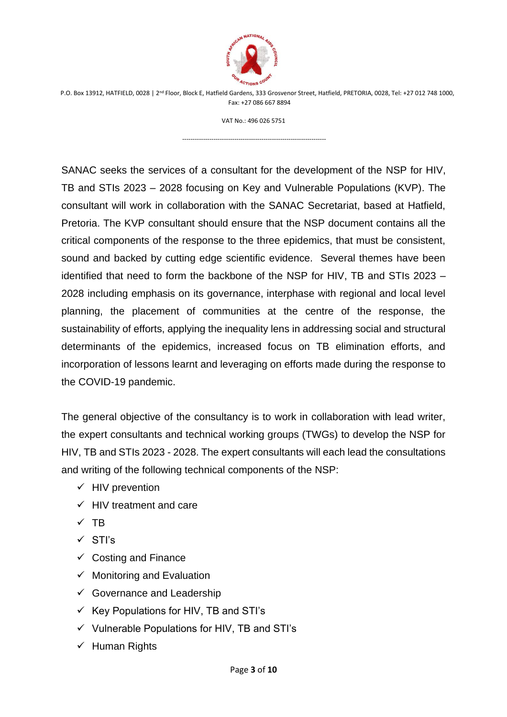

VAT No.: 496 026 5751

---------------------------------------------------------------------

SANAC seeks the services of a consultant for the development of the NSP for HIV, TB and STIs 2023 – 2028 focusing on Key and Vulnerable Populations (KVP). The consultant will work in collaboration with the SANAC Secretariat, based at Hatfield, Pretoria. The KVP consultant should ensure that the NSP document contains all the critical components of the response to the three epidemics, that must be consistent, sound and backed by cutting edge scientific evidence. Several themes have been identified that need to form the backbone of the NSP for HIV, TB and STIs 2023 – 2028 including emphasis on its governance, interphase with regional and local level planning, the placement of communities at the centre of the response, the sustainability of efforts, applying the inequality lens in addressing social and structural determinants of the epidemics, increased focus on TB elimination efforts, and incorporation of lessons learnt and leveraging on efforts made during the response to the COVID-19 pandemic.

The general objective of the consultancy is to work in collaboration with lead writer, the expert consultants and technical working groups (TWGs) to develop the NSP for HIV, TB and STIs 2023 - 2028. The expert consultants will each lead the consultations and writing of the following technical components of the NSP:

- $\checkmark$  HIV prevention
- $\checkmark$  HIV treatment and care
- ✓ TB
- ✓ STI's
- $\checkmark$  Costing and Finance
- $\checkmark$  Monitoring and Evaluation
- $\checkmark$  Governance and Leadership
- $\checkmark$  Key Populations for HIV, TB and STI's
- ✓ Vulnerable Populations for HIV, TB and STI's
- ✓ Human Rights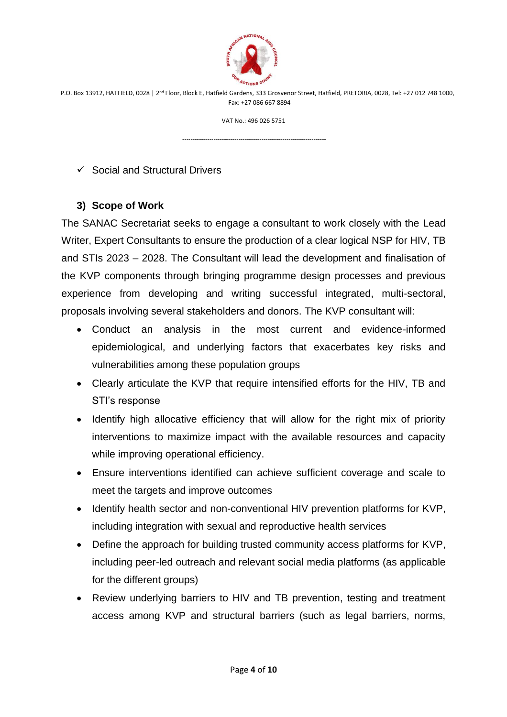

VAT No.: 496 026 5751

---------------------------------------------------------------------

#### $\checkmark$  Social and Structural Drivers

## **3) Scope of Work**

The SANAC Secretariat seeks to engage a consultant to work closely with the Lead Writer, Expert Consultants to ensure the production of a clear logical NSP for HIV, TB and STIs 2023 – 2028. The Consultant will lead the development and finalisation of the KVP components through bringing programme design processes and previous experience from developing and writing successful integrated, multi-sectoral, proposals involving several stakeholders and donors. The KVP consultant will:

- Conduct an analysis in the most current and evidence-informed epidemiological, and underlying factors that exacerbates key risks and vulnerabilities among these population groups
- Clearly articulate the KVP that require intensified efforts for the HIV, TB and STI's response
- Identify high allocative efficiency that will allow for the right mix of priority interventions to maximize impact with the available resources and capacity while improving operational efficiency.
- Ensure interventions identified can achieve sufficient coverage and scale to meet the targets and improve outcomes
- Identify health sector and non-conventional HIV prevention platforms for KVP, including integration with sexual and reproductive health services
- Define the approach for building trusted community access platforms for KVP, including peer-led outreach and relevant social media platforms (as applicable for the different groups)
- Review underlying barriers to HIV and TB prevention, testing and treatment access among KVP and structural barriers (such as legal barriers, norms,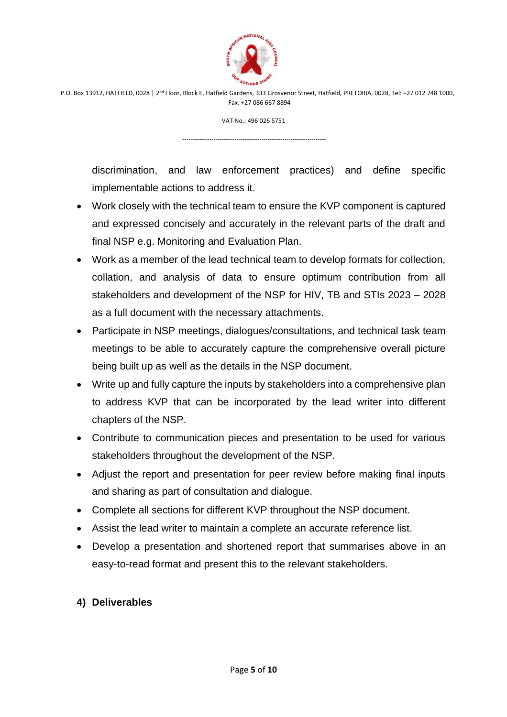

VAT No.: 496 026 5751

---------------------------------------------------------------------

discrimination, and law enforcement practices) and define specific implementable actions to address it.

- Work closely with the technical team to ensure the KVP component is captured and expressed concisely and accurately in the relevant parts of the draft and final NSP e.g. Monitoring and Evaluation Plan.
- Work as a member of the lead technical team to develop formats for collection, collation, and analysis of data to ensure optimum contribution from all stakeholders and development of the NSP for HIV, TB and STIs 2023 – 2028 as a full document with the necessary attachments.
- Participate in NSP meetings, dialogues/consultations, and technical task team meetings to be able to accurately capture the comprehensive overall picture being built up as well as the details in the NSP document.
- Write up and fully capture the inputs by stakeholders into a comprehensive plan to address KVP that can be incorporated by the lead writer into different chapters of the NSP.
- Contribute to communication pieces and presentation to be used for various stakeholders throughout the development of the NSP.
- Adjust the report and presentation for peer review before making final inputs and sharing as part of consultation and dialogue.
- Complete all sections for different KVP throughout the NSP document.
- Assist the lead writer to maintain a complete an accurate reference list.
- Develop a presentation and shortened report that summarises above in an easy-to-read format and present this to the relevant stakeholders.

## **4) Deliverables**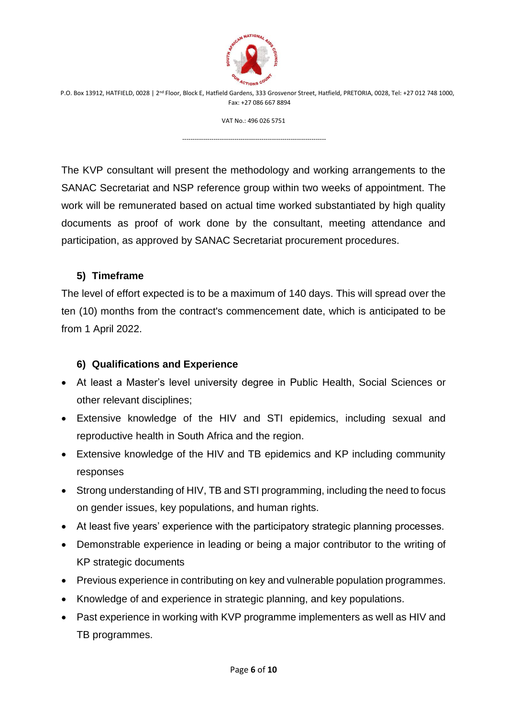

VAT No.: 496 026 5751

---------------------------------------------------------------------

The KVP consultant will present the methodology and working arrangements to the SANAC Secretariat and NSP reference group within two weeks of appointment. The work will be remunerated based on actual time worked substantiated by high quality documents as proof of work done by the consultant, meeting attendance and participation, as approved by SANAC Secretariat procurement procedures.

#### **5) Timeframe**

The level of effort expected is to be a maximum of 140 days. This will spread over the ten (10) months from the contract's commencement date, which is anticipated to be from 1 April 2022.

#### **6) Qualifications and Experience**

- At least a Master's level university degree in Public Health, Social Sciences or other relevant disciplines;
- Extensive knowledge of the HIV and STI epidemics, including sexual and reproductive health in South Africa and the region.
- Extensive knowledge of the HIV and TB epidemics and KP including community responses
- Strong understanding of HIV, TB and STI programming, including the need to focus on gender issues, key populations, and human rights.
- At least five years' experience with the participatory strategic planning processes.
- Demonstrable experience in leading or being a major contributor to the writing of KP strategic documents
- Previous experience in contributing on key and vulnerable population programmes.
- Knowledge of and experience in strategic planning, and key populations.
- Past experience in working with KVP programme implementers as well as HIV and TB programmes.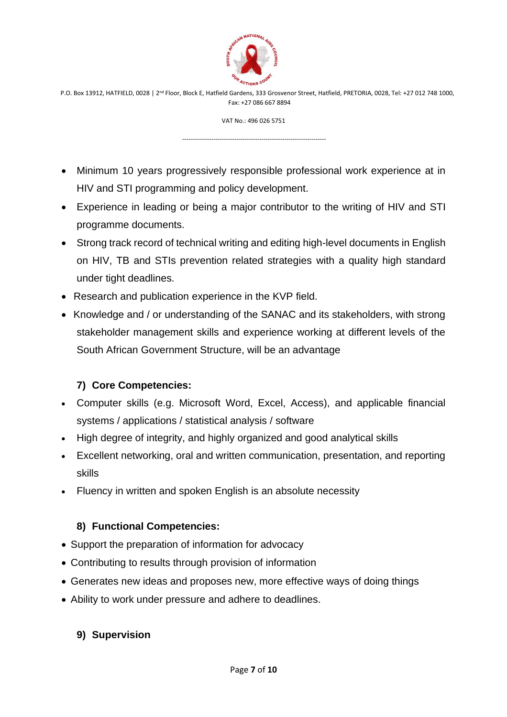

VAT No.: 496 026 5751

---------------------------------------------------------------------

- Minimum 10 years progressively responsible professional work experience at in HIV and STI programming and policy development.
- Experience in leading or being a major contributor to the writing of HIV and STI programme documents.
- Strong track record of technical writing and editing high-level documents in English on HIV, TB and STIs prevention related strategies with a quality high standard under tight deadlines.
- Research and publication experience in the KVP field.
- Knowledge and / or understanding of the SANAC and its stakeholders, with strong stakeholder management skills and experience working at different levels of the South African Government Structure, will be an advantage

# **7) Core Competencies:**

- Computer skills (e.g. Microsoft Word, Excel, Access), and applicable financial systems / applications / statistical analysis / software
- High degree of integrity, and highly organized and good analytical skills
- Excellent networking, oral and written communication, presentation, and reporting skills
- Fluency in written and spoken English is an absolute necessity

# **8) Functional Competencies:**

- Support the preparation of information for advocacy
- Contributing to results through provision of information
- Generates new ideas and proposes new, more effective ways of doing things
- Ability to work under pressure and adhere to deadlines.

## **9) Supervision**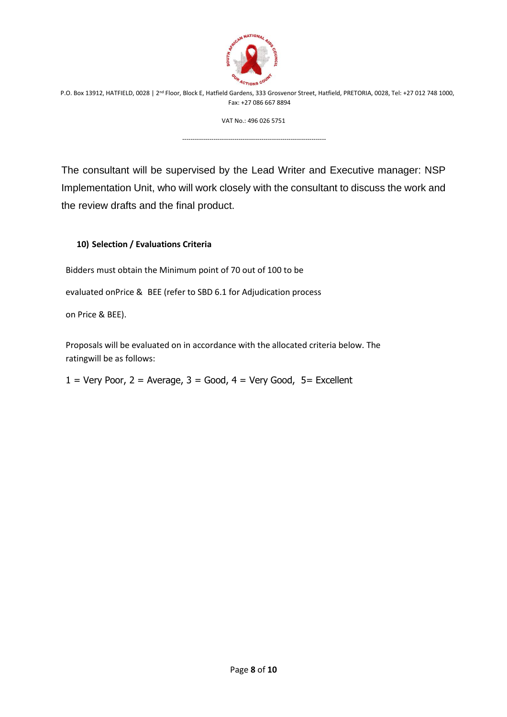

VAT No.: 496 026 5751

---------------------------------------------------------------------

The consultant will be supervised by the Lead Writer and Executive manager: NSP Implementation Unit, who will work closely with the consultant to discuss the work and the review drafts and the final product.

#### **10) Selection / Evaluations Criteria**

Bidders must obtain the Minimum point of 70 out of 100 to be

evaluated onPrice & BEE (refer to SBD 6.1 for Adjudication process

on Price & BEE).

Proposals will be evaluated on in accordance with the allocated criteria below. The ratingwill be as follows:

 $1 = \text{Very Poor}, 2 = \text{Average}, 3 = \text{Good}, 4 = \text{Very Good}, 5 = \text{Excellent}$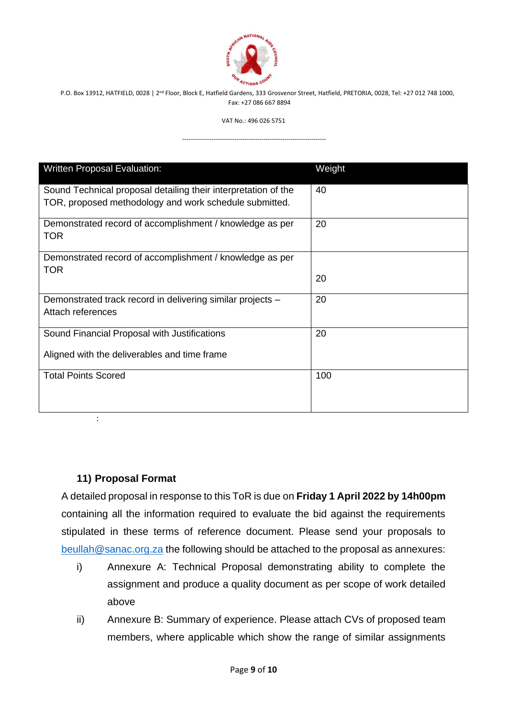

VAT No.: 496 026 5751

---------------------------------------------------------------------

| <b>Written Proposal Evaluation:</b>                                                                                      | Weight |
|--------------------------------------------------------------------------------------------------------------------------|--------|
| Sound Technical proposal detailing their interpretation of the<br>TOR, proposed methodology and work schedule submitted. | 40     |
| Demonstrated record of accomplishment / knowledge as per<br><b>TOR</b>                                                   | 20     |
| Demonstrated record of accomplishment / knowledge as per<br><b>TOR</b>                                                   | 20     |
| Demonstrated track record in delivering similar projects -<br>Attach references                                          | 20     |
| Sound Financial Proposal with Justifications<br>Aligned with the deliverables and time frame                             | 20     |
| <b>Total Points Scored</b>                                                                                               | 100    |

#### **11) Proposal Format**

:

A detailed proposal in response to this ToR is due on **Friday 1 April 2022 by 14h00pm** containing all the information required to evaluate the bid against the requirements stipulated in these terms of reference document. Please send your proposals to [beullah@sanac.org.za](mailto:beullah@sanac.org.za) the following should be attached to the proposal as annexures:

- i) Annexure A: Technical Proposal demonstrating ability to complete the assignment and produce a quality document as per scope of work detailed above
- ii) Annexure B: Summary of experience. Please attach CVs of proposed team members, where applicable which show the range of similar assignments